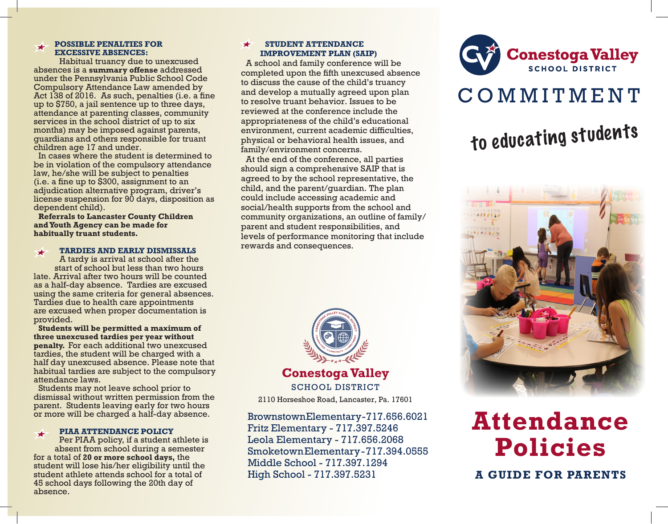# **POSSIBLE PENALTIES FOR EXCESSIVE ABSENCES:**

Habitual truancy due to unexcused absences is a **summary offense** addressed under the Pennsylvania Public School Code Compulsory Attendance Law amended by Act 138 of 2016. As such, penalties (i.e. a fine up to \$750, a jail sentence up to three days, attendance at parenting classes, community services in the school district of up to six months) may be imposed against parents, guardians and others responsible for truant children age 17 and under.

In cases where the student is determined to be in violation of the compulsory attendance law, he/she will be subject to penalties (i.e. a fine up to \$300, assignment to an adjudication alternative program, driver's license suspension for 90 days, disposition as dependent child).

**Referrals to Lancaster County Children and Youth Agency can be made for habitually truant students.**

#### **TARDIES AND EARLY DISMISSALS**  $\bigstar$

A tardy is arrival at school after the start of school but less than two hours late. Arrival after two hours will be counted as a half-day absence. Tardies are excused using the same criteria for general absences. Tardies due to health care appointments are excused when proper documentation is provided.

**Students will be permitted a maximum of three unexcused tardies per year without penalty.** For each additional two unexcused tardies, the student will be charged with a half day unexcused absence. Please note that habitual tardies are subject to the compulsory attendance laws.

Students may not leave school prior to dismissal without written permission from the parent. Students leaving early for two hours or more will be charged a half-day absence.

#### **PIAA ATTENDANCE POLICY**  $\bigstar$

Per PIAA policy, if a student athlete is absent from school during a semester for a total of **20 or more school days,** the student will lose his/her eligibility until the student athlete attends school for a total of 45 school days following the 20th day of absence.

### **STUDENT ATTENDANCE**   $\bigstar$ **IMPROVEMENT PLAN (SAIP)**

A school and family conference will be completed upon the fifth unexcused absence to discuss the cause of the child's truancy and develop a mutually agreed upon plan to resolve truant behavior. Issues to be reviewed at the conference include the appropriateness of the child's educational environment, current academic difficulties, physical or behavioral health issues, and family/environment concerns.

At the end of the conference, all parties should sign a comprehensive SAIP that is agreed to by the school representative, the child, and the parent/guardian. The plan could include accessing academic and social/health supports from the school and community organizations, an outline of family/ parent and student responsibilities, and levels of performance monitoring that include rewards and consequences.



Brownstown Elementary - 717.656.6021 Fritz Elementary - 717.397.5246 Leola Elementary - 717.656.2068 Smoketown Elementary - 717.394.0555 Middle School - 717.397.1294 High School - 717.397.5231



# C O M M I T M E N T

# to educating students



**Attendance Policies**

**A GUIDE FOR PARENTS**